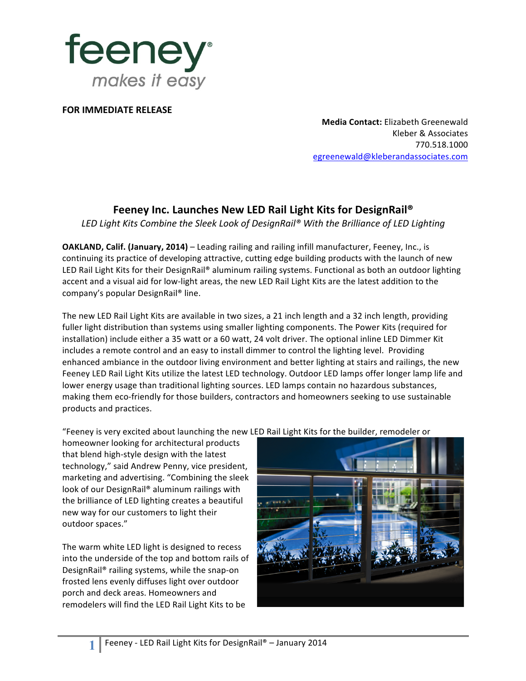

**FOR IMMEDIATE RELEASE** 

**Media Contact:** Elizabeth Greenewald Kleber & Associates 770.518.1000 egreenewald@kleberandassociates.com

## Feeney Inc. Launches New LED Rail Light Kits for DesignRail<sup>®</sup>

LED Light Kits Combine the Sleek Look of DesignRail® With the Brilliance of LED Lighting

**OAKLAND, Calif. (January, 2014)** – Leading railing and railing infill manufacturer, Feeney, Inc., is continuing its practice of developing attractive, cutting edge building products with the launch of new LED Rail Light Kits for their DesignRail® aluminum railing systems. Functional as both an outdoor lighting accent and a visual aid for low-light areas, the new LED Rail Light Kits are the latest addition to the company's popular DesignRail® line.

The new LED Rail Light Kits are available in two sizes, a 21 inch length and a 32 inch length, providing fuller light distribution than systems using smaller lighting components. The Power Kits (required for installation) include either a 35 watt or a 60 watt, 24 volt driver. The optional inline LED Dimmer Kit includes a remote control and an easy to install dimmer to control the lighting level. Providing enhanced ambiance in the outdoor living environment and better lighting at stairs and railings, the new Feeney LED Rail Light Kits utilize the latest LED technology. Outdoor LED lamps offer longer lamp life and lower energy usage than traditional lighting sources. LED lamps contain no hazardous substances, making them eco-friendly for those builders, contractors and homeowners seeking to use sustainable products and practices.

"Feeney is very excited about launching the new LED Rail Light Kits for the builder, remodeler or

homeowner looking for architectural products that blend high-style design with the latest technology," said Andrew Penny, vice president, marketing and advertising. "Combining the sleek look of our DesignRail® aluminum railings with the brilliance of LED lighting creates a beautiful new way for our customers to light their outdoor spaces."

The warm white LED light is designed to recess into the underside of the top and bottom rails of DesignRail® railing systems, while the snap-on frosted lens evenly diffuses light over outdoor porch and deck areas. Homeowners and remodelers will find the LED Rail Light Kits to be



Feeney - LED Rail Light Kits for DesignRail® - January 2014